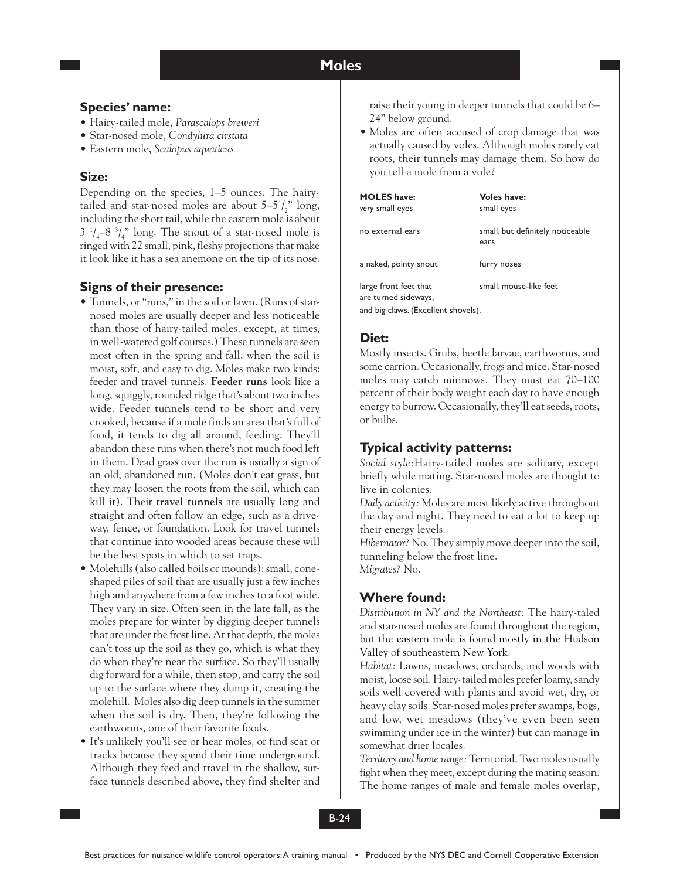#### **Moles Moles**

## **Species' name:**

- Hairy-tailed mole, *Parascalops breweri*
- Star-nosed mole, *Condylura cirstata*
- Eastern mole, *Scalopus aquaticus*

## **Size:**

Depending on the species, 1–5 ounces. The hairytailed and star-nosed moles are about  $5-5<sup>1</sup> /<sub>2</sub>$ " long, including the short tail, while the eastern mole is about  $3 \frac{1}{4} - 8 \frac{3}{4}$ " long. The snout of a star-nosed mole is ringed with 22 small, pink, fleshy projections that make it look like it has a sea anemone on the tip of its nose.

# **Signs of their presence:**

- Tunnels, or "runs," in the soil or lawn. (Runs of starnosed moles are usually deeper and less noticeable than those of hairy-tailed moles, except, at times, in well-watered golf courses.) These tunnels are seen most often in the spring and fall, when the soil is moist, soft, and easy to dig. Moles make two kinds: feeder and travel tunnels. **Feeder runs** look like a long, squiggly, rounded ridge that's about two inches wide. Feeder tunnels tend to be short and very crooked, because if a mole finds an area that's full of food, it tends to dig all around, feeding. They'll abandon these runs when there's not much food left in them. Dead grass over the run is usually a sign of an old, abandoned run. (Moles don't eat grass, but they may loosen the roots from the soil, which can kill it). Their **travel tunnels** are usually long and straight and often follow an edge, such as a driveway, fence, or foundation. Look for travel tunnels that continue into wooded areas because these will be the best spots in which to set traps.
- Molehills (also called boils or mounds): small, coneshaped piles of soil that are usually just a few inches high and anywhere from a few inches to a foot wide. They vary in size. Often seen in the late fall, as the moles prepare for winter by digging deeper tunnels that are under the frost line. At that depth, the moles can't toss up the soil as they go, which is what they do when they're near the surface. So they'll usually dig forward for a while, then stop, and carry the soil up to the surface where they dump it, creating the molehill. Moles also dig deep tunnels in the summer when the soil is dry. Then, they're following the earthworms, one of their favorite foods.
- It's unlikely you'll see or hear moles, or find scat or tracks because they spend their time underground. Although they feed and travel in the shallow, surface tunnels described above, they find shelter and

raise their young in deeper tunnels that could be 6– 24" below ground.

• Moles are often accused of crop damage that was actually caused by voles. Although moles rarely eat roots, their tunnels may damage them. So how do you tell a mole from a vole?

| <b>MOLES</b> have:<br>very small eyes         | <b>Voles have:</b><br>small eyes         |
|-----------------------------------------------|------------------------------------------|
| no external ears                              | small, but definitely noticeable<br>ears |
| a naked, pointy snout                         | furry noses                              |
| large front feet that<br>are turned sideways, | small, mouse-like feet                   |
| and big claws. (Excellent shovels).           |                                          |

# **Diet:**

Mostly insects. Grubs, beetle larvae, earthworms, and some carrion. Occasionally, frogs and mice. Star-nosed moles may catch minnows*.* They must eat 70–100 percent of their body weight each day to have enough energy to burrow. Occasionally, they'll eat seeds, roots, or bulbs.

# **Typical activity patterns:**

*Social style:*Hairy-tailed moles are solitary, except briefly while mating. Star-nosed moles are thought to live in colonies.

*Daily activity:* Moles are most likely active throughout the day and night. They need to eat a lot to keep up their energy levels.

*Hibernator?* No. They simply move deeper into the soil, tunneling below the frost line. *Migrates?* No.

# **Where found:**

*Distribution in NY and the Northeast:* The hairy-taled and star-nosed moles are found throughout the region, but the eastern mole is found mostly in the Hudson Valley of southeastern New York.

*Habitat:* Lawns, meadows, orchards, and woods with moist, loose soil. Hairy-tailed moles prefer loamy, sandy soils well covered with plants and avoid wet, dry, or heavy clay soils. Star-nosed moles prefer swamps, bogs, and low, wet meadows (they've even been seen swimming under ice in the winter) but can manage in somewhat drier locales.

*Territory and home range:* Territorial. Two moles usually fight when they meet, except during the mating season. The home ranges of male and female moles overlap,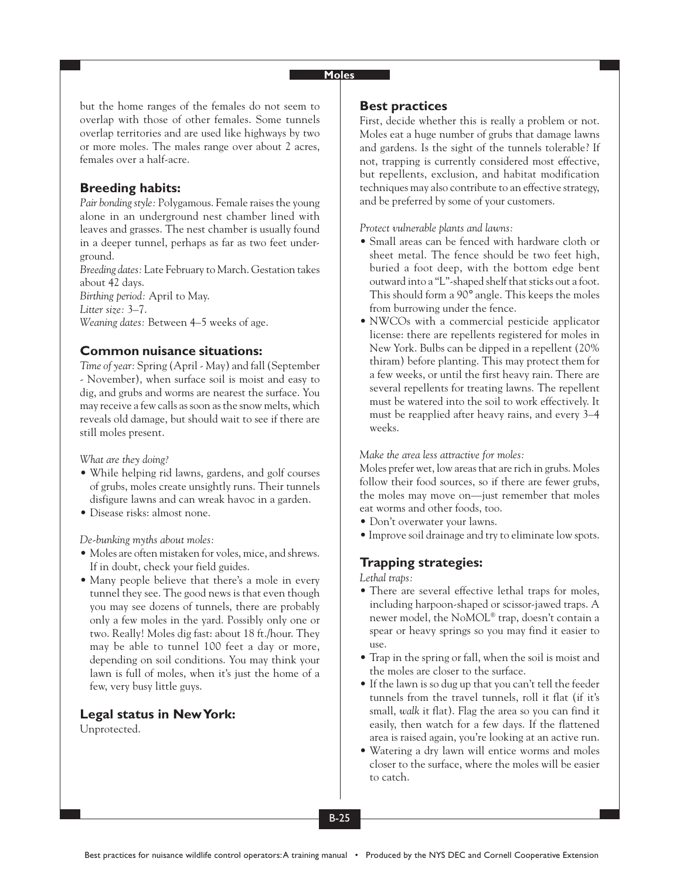#### **Moles**

but the home ranges of the females do not seem to overlap with those of other females. Some tunnels overlap territories and are used like highways by two or more moles. The males range over about 2 acres, females over a half-acre.

### **Breeding habits:**

*Pair bonding style:* Polygamous. Female raises the young alone in an underground nest chamber lined with leaves and grasses. The nest chamber is usually found in a deeper tunnel, perhaps as far as two feet underground.

*Breeding dates:* Late February to March. Gestation takes about 42 days. *Birthing period:* April to May.

*Litter size:* 3–7.

*Weaning dates:* Between 4–5 weeks of age.

### **Common nuisance situations:**

*Time of year:* Spring (April - May) and fall (September - November), when surface soil is moist and easy to dig, and grubs and worms are nearest the surface. You may receive a few calls as soon as the snow melts, which reveals old damage, but should wait to see if there are still moles present.

*What are they doing?*

- While helping rid lawns, gardens, and golf courses of grubs, moles create unsightly runs. Their tunnels disfigure lawns and can wreak havoc in a garden.
- Disease risks: almost none.

*De-bunking myths about moles:*

- Moles are often mistaken for voles, mice, and shrews. If in doubt, check your field guides.
- Many people believe that there's a mole in every tunnel they see. The good news is that even though you may see dozens of tunnels, there are probably only a few moles in the yard. Possibly only one or two. Really! Moles dig fast: about 18 ft./hour. They may be able to tunnel 100 feet a day or more, depending on soil conditions. You may think your lawn is full of moles, when it's just the home of a few, very busy little guys.

## **Legal status in New York:**

Unprotected.

#### **Best practices**

First, decide whether this is really a problem or not. Moles eat a huge number of grubs that damage lawns and gardens. Is the sight of the tunnels tolerable? If not, trapping is currently considered most effective, but repellents, exclusion, and habitat modification techniques may also contribute to an effective strategy, and be preferred by some of your customers.

*Protect vulnerable plants and lawns:*

- Small areas can be fenced with hardware cloth or sheet metal. The fence should be two feet high, buried a foot deep, with the bottom edge bent outward into a "L"-shaped shelf that sticks out a foot. This should form a 90° angle. This keeps the moles from burrowing under the fence.
- NWCOs with a commercial pesticide applicator license: there are repellents registered for moles in New York. Bulbs can be dipped in a repellent (20% thiram) before planting. This may protect them for a few weeks, or until the first heavy rain. There are several repellents for treating lawns. The repellent must be watered into the soil to work effectively. It must be reapplied after heavy rains, and every 3–4 weeks.

#### *Make the area less attractive for moles:*

Moles prefer wet, low areas that are rich in grubs. Moles follow their food sources, so if there are fewer grubs, the moles may move on—just remember that moles eat worms and other foods, too.

- Don't overwater your lawns.
- Improve soil drainage and try to eliminate low spots.

## **Trapping strategies:**

*Lethal traps:*

- There are several effective lethal traps for moles, including harpoon-shaped or scissor-jawed traps. A newer model, the NoMOL® trap, doesn't contain a spear or heavy springs so you may find it easier to use.
- Trap in the spring or fall, when the soil is moist and the moles are closer to the surface.
- If the lawn is so dug up that you can't tell the feeder tunnels from the travel tunnels, roll it flat (if it's small, *walk* it flat). Flag the area so you can find it easily, then watch for a few days. If the flattened area is raised again, you're looking at an active run.
- Watering a dry lawn will entice worms and moles closer to the surface, where the moles will be easier to catch.